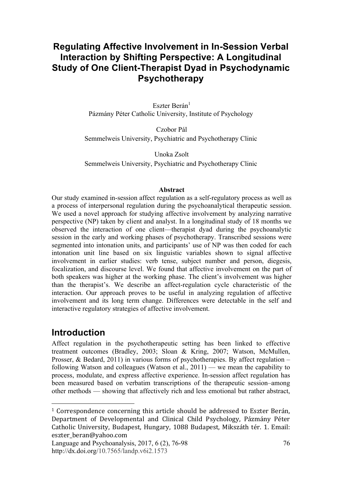# **Regulating Affective Involvement in In-Session Verbal Interaction by Shifting Perspective: A Longitudinal Study of One Client-Therapist Dyad in Psychodynamic Psychotherapy**

Eszter Berán<sup>1</sup> Pázmány Péter Catholic University, Institute of Psychology

Czobor Pál Semmelweis University, Psychiatric and Psychotherapy Clinic

Unoka Zsolt Semmelweis University, Psychiatric and Psychotherapy Clinic

#### **Abstract**

Our study examined in-session affect regulation as a self-regulatory process as well as a process of interpersonal regulation during the psychoanalytical therapeutic session. We used a novel approach for studying affective involvement by analyzing narrative perspective (NP) taken by client and analyst. In a longitudinal study of 18 months we observed the interaction of one client—therapist dyad during the psychoanalytic session in the early and working phases of psychotherapy. Transcribed sessions were segmented into intonation units, and participants' use of NP was then coded for each intonation unit line based on six linguistic variables shown to signal affective involvement in earlier studies: verb tense, subject number and person, diegesis, focalization, and discourse level. We found that affective involvement on the part of both speakers was higher at the working phase. The client's involvement was higher than the therapist's. We describe an affect-regulation cycle characteristic of the interaction. Our approach proves to be useful in analyzing regulation of affective involvement and its long term change. Differences were detectable in the self and interactive regulatory strategies of affective involvement.

# **Introduction**

<u>.</u>

Affect regulation in the psychotherapeutic setting has been linked to effective treatment outcomes (Bradley, 2003; Sloan & Kring, 2007; Watson, McMullen, Prosser, & Bedard, 2011) in various forms of psychotherapies. By affect regulation – following Watson and colleagues (Watson et al.,  $2011$ ) — we mean the capability to process, modulate, and express affective experience. In-session affect regulation has been measured based on verbatim transcriptions of the therapeutic session–among other methods — showing that affectively rich and less emotional but rather abstract,

 $1$  Correspondence concerning this article should be addressed to Eszter Berán, Department of Developmental and Clinical Child Psychology, Pázmány Péter Catholic University, Budapest, Hungary, 1088 Budapest, Mikszáth tér. 1. Email: eszter beran@yahoo.com

Language and Psychoanalysis, 2017, 6 (2), 76-98 http://dx.doi.org/10.7565/landp.v6i2.1573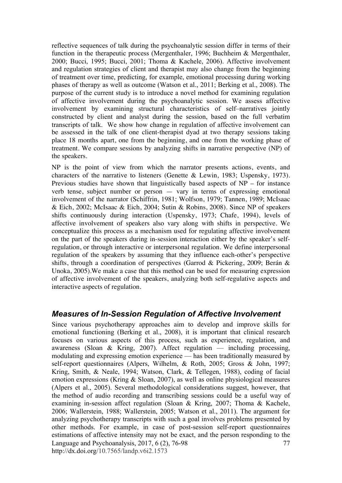reflective sequences of talk during the psychoanalytic session differ in terms of their function in the therapeutic process (Mergenthaler, 1996; Buchheim & Mergenthaler, 2000; Bucci, 1995; Bucci, 2001; Thoma & Kachele, 2006). Affective involvement and regulation strategies of client and therapist may also change from the beginning of treatment over time, predicting, for example, emotional processing during working phases of therapy as well as outcome (Watson et al., 2011; Berking et al., 2008). The purpose of the current study is to introduce a novel method for examining regulation of affective involvement during the psychoanalytic session. We assess affective involvement by examining structural characteristics of self–narratives jointly constructed by client and analyst during the session, based on the full verbatim transcripts of talk. We show how change in regulation of affective involvement can be assessed in the talk of one client-therapist dyad at two therapy sessions taking place 18 months apart, one from the beginning, and one from the working phase of treatment. We compare sessions by analyzing shifts in narrative perspective (NP) of the speakers.

NP is the point of view from which the narrator presents actions, events, and characters of the narrative to listeners (Genette  $\&$  Lewin, 1983; Uspensky, 1973). Previous studies have shown that linguistically based aspects of NP – for instance verb tense, subject number or person — vary in terms of expressing emotional involvement of the narrator (Schiffrin, 1981; Wolfson, 1979; Tannen, 1989; McIsaac & Eich, 2002; McIsaac & Eich, 2004; Sutin & Robins, 2008). Since NP of speakers shifts continuously during interaction (Uspensky, 1973; Chafe, 1994), levels of affective involvement of speakers also vary along with shifts in perspective. We conceptualize this process as a mechanism used for regulating affective involvement on the part of the speakers during in-session interaction either by the speaker's selfregulation, or through interactive or interpersonal regulation. We define interpersonal regulation of the speakers by assuming that they influence each-other's perspective shifts, through a coordination of perspectives (Garrod & Pickering, 2009; Berán & Unoka, 2005).We make a case that this method can be used for measuring expression of affective involvement of the speakers, analyzing both self-regulative aspects and interactive aspects of regulation.

## *Measures of In-Session Regulation of Affective Involvement*

Language and Psychoanalysis, 2017, 6 (2), 76-98 http://dx.doi.org/10.7565/landp.v6i2.1573 77 Since various psychotherapy approaches aim to develop and improve skills for emotional functioning (Berking et al., 2008), it is important that clinical research focuses on various aspects of this process, such as experience, regulation, and awareness (Sloan & Kring, 2007). Affect regulation — including processing, modulating and expressing emotion experience — has been traditionally measured by self-report questionnaires (Alpers, Wilhelm, & Roth, 2005; Gross & John, 1997; Kring, Smith, & Neale, 1994; Watson, Clark, & Tellegen, 1988), coding of facial emotion expressions (Kring & Sloan, 2007), as well as online physiological measures (Alpers et al., 2005). Several methodological considerations suggest, however, that the method of audio recording and transcribing sessions could be a useful way of examining in-session affect regulation (Sloan & Kring, 2007; Thoma & Kachele, 2006; Wallerstein, 1988; Wallerstein, 2005; Watson et al., 2011). The argument for analyzing psychotherapy transcripts with such a goal involves problems presented by other methods. For example, in case of post-session self-report questionnaires estimations of affective intensity may not be exact, and the person responding to the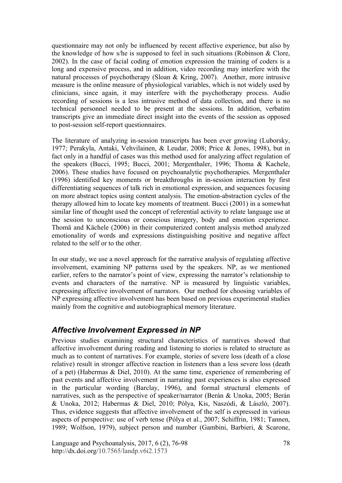questionnaire may not only be influenced by recent affective experience, but also by the knowledge of how s/he is supposed to feel in such situations (Robinson & Clore, 2002). In the case of facial coding of emotion expression the training of coders is a long and expensive process, and in addition, video recording may interfere with the natural processes of psychotherapy (Sloan & Kring, 2007). Another, more intrusive measure is the online measure of physiological variables, which is not widely used by clinicians, since again, it may interfere with the psychotherapy process. Audio recording of sessions is a less intrusive method of data collection, and there is no technical personnel needed to be present at the sessions. In addition, verbatim transcripts give an immediate direct insight into the events of the session as opposed to post-session self-report questionnaires.

The literature of analyzing in-session transcripts has been ever growing (Luborsky, 1977; Perakyla, Antaki, Vehvilainen, & Leudar, 2008; Price & Jones, 1998), but in fact only in a handful of cases was this method used for analyzing affect regulation of the speakers (Bucci, 1995; Bucci, 2001; Mergenthaler, 1996; Thoma & Kachele, 2006). These studies have focused on psychoanalytic psychotherapies. Mergenthaler (1996) identified key moments or breakthroughs in in-session interaction by first differentiating sequences of talk rich in emotional expression, and sequences focusing on more abstract topics using content analysis. The emotion-abstraction cycles of the therapy allowed him to locate key moments of treatment. Bucci (2001) in a somewhat similar line of thought used the concept of referential activity to relate language use at the session to unconscious or conscious imagery, body and emotion experience. Thomä and Kächele (2006) in their computerized content analysis method analyzed emotionality of words and expressions distinguishing positive and negative affect related to the self or to the other.

In our study, we use a novel approach for the narrative analysis of regulating affective involvement, examining NP patterns used by the speakers. NP, as we mentioned earlier, refers to the narrator's point of view, expressing the narrator's relationship to events and characters of the narrative. NP is measured by linguistic variables, expressing affective involvement of narrators. Our method for choosing variables of NP expressing affective involvement has been based on previous experimental studies mainly from the cognitive and autobiographical memory literature.

# *Affective Involvement Expressed in NP*

Previous studies examining structural characteristics of narratives showed that affective involvement during reading and listening to stories is related to structure as much as to content of narratives. For example, stories of severe loss (death of a close relative) result in stronger affective reaction in listeners than a less severe loss (death of a pet) (Habermas & Diel, 2010). At the same time, experience of remembering of past events and affective involvement in narrating past experiences is also expressed in the particular wording (Barclay, 1996), and formal structural elements of narratives, such as the perspective of speaker/narrator (Berán & Unoka, 2005; Berán & Unoka, 2012; Habermas & Diel, 2010; Pólya, Kis, Naszódi, & László, 2007). Thus, evidence suggests that affective involvement of the self is expressed in various aspects of perspective: use of verb tense (Pólya et al., 2007; Schiffrin, 1981; Tannen, 1989; Wolfson, 1979), subject person and number (Gambini, Barbieri, & Scarone,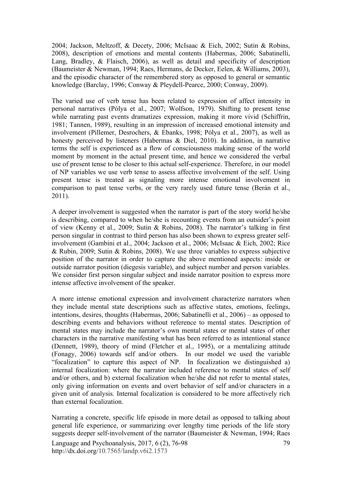2004; Jackson, Meltzoff, & Decety, 2006; McIsaac & Eich, 2002; Sutin & Robins, 2008), description of emotions and mental contents (Habermas, 2006; Sabatinelli, Lang, Bradley, & Flaisch, 2006), as well as detail and specificity of description (Baumeister & Newman, 1994; Raes, Hermans, de Decker, Eelen, & Williams, 2003), and the episodic character of the remembered story as opposed to general or semantic knowledge (Barclay, 1996; Conway & Pleydell-Pearce, 2000; Conway, 2009).

The varied use of verb tense has been related to expression of affect intensity in personal narratives (Pólya et al., 2007; Wolfson, 1979). Shifting to present tense while narrating past events dramatizes expression, making it more vivid (Schiffrin, 1981; Tannen, 1989), resulting in an impression of increased emotional intensity and involvement (Pillemer, Desrochers, & Ebanks, 1998; Pólya et al., 2007), as well as honesty perceived by listeners (Habermas & Diel, 2010). In addition, in narrative terms the self is experienced as a flow of consciousness making sense of the world moment by moment in the actual present time, and hence we considered the verbal use of present tense to be closer to this actual self-experience. Therefore, in our model of NP variables we use verb tense to assess affective involvement of the self. Using present tense is treated as signaling more intense emotional involvement in comparison to past tense verbs, or the very rarely used future tense (Berán et al., 2011).

A deeper involvement is suggested when the narrator is part of the story world he/she is describing, compared to when he/she is recounting events from an outsider's point of view (Kenny et al., 2009; Sutin & Robins, 2008). The narrator's talking in first person singular in contrast to third person has also been shown to express greater selfinvolvement (Gambini et al., 2004; Jackson et al., 2006; McIsaac & Eich, 2002; Rice & Rubin, 2009; Sutin & Robins, 2008). We use three variables to express subjective position of the narrator in order to capture the above mentioned aspects: inside or outside narrator position (diegesis variable), and subject number and person variables. We consider first person singular subject and inside narrator position to express more intense affective involvement of the speaker.

A more intense emotional expression and involvement characterize narrators when they include mental state descriptions such as affective states, emotions, feelings, intentions, desires, thoughts (Habermas, 2006; Sabatinelli et al., 2006) – as opposed to describing events and behaviors without reference to mental states. Description of mental states may include the narrator's own mental states or mental states of other characters in the narrative manifesting what has been referred to as intentional stance (Dennett, 1989), theory of mind (Fletcher et al., 1995), or a mentalizing attitude (Fonagy, 2006) towards self and/or others. In our model we used the variable "focalization" to capture this aspect of NP. In focalization we distinguished a) internal focalization: where the narrator included reference to mental states of self and/or others, and b) external focalization when he/she did not refer to mental states, only giving information on events and overt behavior of self and/or characters in a given unit of analysis. Internal focalization is considered to be more affectively rich than external focalization.

Language and Psychoanalysis, 2017, 6 (2), 76-98 http://dx.doi.org/10.7565/landp.v6i2.1573 79 Narrating a concrete, specific life episode in more detail as opposed to talking about general life experience, or summarizing over lengthy time periods of the life story suggests deeper self-involvement of the narrator (Baumeister & Newman, 1994; Raes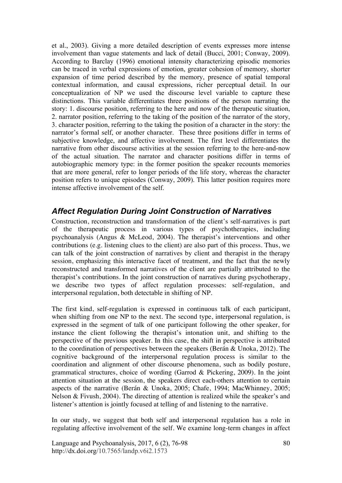et al., 2003). Giving a more detailed description of events expresses more intense involvement than vague statements and lack of detail (Bucci, 2001; Conway, 2009). According to Barclay (1996) emotional intensity characterizing episodic memories can be traced in verbal expressions of emotion, greater cohesion of memory, shorter expansion of time period described by the memory, presence of spatial temporal contextual information, and causal expressions, richer perceptual detail. In our conceptualization of NP we used the discourse level variable to capture these distinctions. This variable differentiates three positions of the person narrating the story: 1. discourse position, referring to the here and now of the therapeutic situation, 2. narrator position, referring to the taking of the position of the narrator of the story, 3. character position, referring to the taking the position of a character in the story: the narrator's formal self, or another character. These three positions differ in terms of subjective knowledge, and affective involvement. The first level differentiates the narrative from other discourse activities at the session referring to the here-and-now of the actual situation. The narrator and character positions differ in terms of autobiographic memory type: in the former position the speaker recounts memories that are more general, refer to longer periods of the life story, whereas the character position refers to unique episodes (Conway, 2009). This latter position requires more intense affective involvement of the self.

## *Affect Regulation During Joint Construction of Narratives*

Construction, reconstruction and transformation of the client's self-narratives is part of the therapeutic process in various types of psychotherapies, including psychoanalysis (Angus & McLeod, 2004). The therapist's interventions and other contributions (e.g. listening clues to the client) are also part of this process. Thus, we can talk of the joint construction of narratives by client and therapist in the therapy session, emphasizing this interactive facet of treatment, and the fact that the newly reconstructed and transformed narratives of the client are partially attributed to the therapist's contributions. In the joint construction of narratives during psychotherapy, we describe two types of affect regulation processes: self-regulation, and interpersonal regulation, both detectable in shifting of NP.

The first kind, self-regulation is expressed in continuous talk of each participant, when shifting from one NP to the next. The second type, interpersonal regulation, is expressed in the segment of talk of one participant following the other speaker, for instance the client following the therapist's intonation unit, and shifting to the perspective of the previous speaker. In this case, the shift in perspective is attributed to the coordination of perspectives between the speakers (Berán & Unoka, 2012). The cognitive background of the interpersonal regulation process is similar to the coordination and alignment of other discourse phenomena, such as bodily posture, grammatical structures, choice of wording (Garrod & Pickering, 2009). In the joint attention situation at the session, the speakers direct each-others attention to certain aspects of the narrative (Berán & Unoka, 2005; Chafe, 1994; MacWhinney, 2005; Nelson & Fivush, 2004). The directing of attention is realized while the speaker's and listener's attention is jointly focused at telling of and listening to the narrative.

In our study, we suggest that both self and interpersonal regulation has a role in regulating affective involvement of the self. We examine long-term changes in affect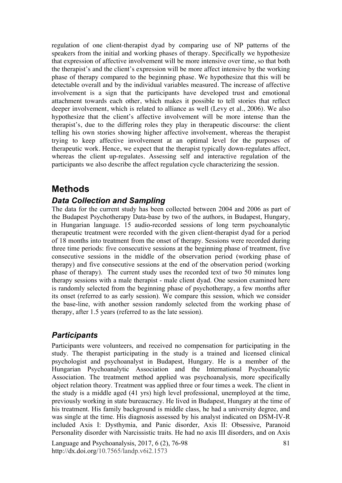regulation of one client-therapist dyad by comparing use of NP patterns of the speakers from the initial and working phases of therapy. Specifically we hypothesize that expression of affective involvement will be more intensive over time, so that both the therapist's and the client's expression will be more affect intensive by the working phase of therapy compared to the beginning phase. We hypothesize that this will be detectable overall and by the individual variables measured. The increase of affective involvement is a sign that the participants have developed trust and emotional attachment towards each other, which makes it possible to tell stories that reflect deeper involvement, which is related to alliance as well (Levy et al., 2006). We also hypothesize that the client's affective involvement will be more intense than the therapist's, due to the differing roles they play in therapeutic discourse: the client telling his own stories showing higher affective involvement, whereas the therapist trying to keep affective involvement at an optimal level for the purposes of therapeutic work. Hence, we expect that the therapist typically down-regulates affect, whereas the client up-regulates. Assessing self and interactive regulation of the participants we also describe the affect regulation cycle characterizing the session.

# **Methods**

### *Data Collection and Sampling*

The data for the current study has been collected between 2004 and 2006 as part of the Budapest Psychotherapy Data-base by two of the authors, in Budapest, Hungary, in Hungarian language. 15 audio-recorded sessions of long term psychoanalytic therapeutic treatment were recorded with the given client-therapist dyad for a period of 18 months into treatment from the onset of therapy. Sessions were recorded during three time periods: five consecutive sessions at the beginning phase of treatment, five consecutive sessions in the middle of the observation period (working phase of therapy) and five consecutive sessions at the end of the observation period (working phase of therapy). The current study uses the recorded text of two 50 minutes long therapy sessions with a male therapist - male client dyad. One session examined here is randomly selected from the beginning phase of psychotherapy, a few months after its onset (referred to as early session). We compare this session, which we consider the base-line, with another session randomly selected from the working phase of therapy, after 1.5 years (referred to as the late session).

## *Participants*

Participants were volunteers, and received no compensation for participating in the study. The therapist participating in the study is a trained and licensed clinical psychologist and psychoanalyst in Budapest, Hungary. He is a member of the Hungarian Psychoanalytic Association and the International Psychoanalytic Association. The treatment method applied was psychoanalysis, more specifically object relation theory. Treatment was applied three or four times a week. The client in the study is a middle aged (41 yrs) high level professional, unemployed at the time, previously working in state bureaucracy. He lived in Budapest, Hungary at the time of his treatment. His family background is middle class, he had a university degree, and was single at the time. His diagnosis assessed by his analyst indicated on DSM-IV-R included Axis I: Dysthymia, and Panic disorder, Axis II: Obsessive, Paranoid Personality disorder with Narcissistic traits. He had no axis III disorders, and on Axis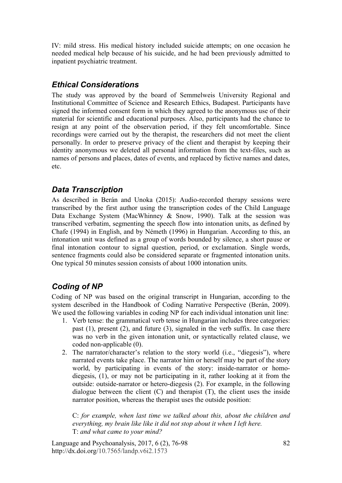IV: mild stress. His medical history included suicide attempts; on one occasion he needed medical help because of his suicide, and he had been previously admitted to inpatient psychiatric treatment.

# *Ethical Considerations*

The study was approved by the board of Semmelweis University Regional and Institutional Committee of Science and Research Ethics, Budapest. Participants have signed the informed consent form in which they agreed to the anonymous use of their material for scientific and educational purposes. Also, participants had the chance to resign at any point of the observation period, if they felt uncomfortable. Since recordings were carried out by the therapist, the researchers did not meet the client personally. In order to preserve privacy of the client and therapist by keeping their identity anonymous we deleted all personal information from the text-files, such as names of persons and places, dates of events, and replaced by fictive names and dates, etc.

# *Data Transcription*

As described in Berán and Unoka (2015): Audio-recorded therapy sessions were transcribed by the first author using the transcription codes of the Child Language Data Exchange System (MacWhinney & Snow, 1990). Talk at the session was transcribed verbatim, segmenting the speech flow into intonation units, as defined by Chafe (1994) in English, and by Németh (1996) in Hungarian. According to this, an intonation unit was defined as a group of words bounded by silence, a short pause or final intonation contour to signal question, period, or exclamation. Single words, sentence fragments could also be considered separate or fragmented intonation units. One typical 50 minutes session consists of about 1000 intonation units.

# *Coding of NP*

Coding of NP was based on the original transcript in Hungarian, according to the system described in the Handbook of Coding Narrative Perspective (Berán, 2009). We used the following variables in coding NP for each individual intonation unit line:

- 1. Verb tense: the grammatical verb tense in Hungarian includes three categories: past (1), present (2), and future (3), signaled in the verb suffix. In case there was no verb in the given intonation unit, or syntactically related clause, we coded non-applicable (0).
- 2. The narrator/character's relation to the story world (i.e., "diegesis"), where narrated events take place. The narrator him or herself may be part of the story world, by participating in events of the story: inside-narrator or homodiegesis, (1), or may not be participating in it, rather looking at it from the outside: outside-narrator or hetero-diegesis (2). For example, in the following dialogue between the client  $(C)$  and therapist  $(T)$ , the client uses the inside narrator position, whereas the therapist uses the outside position:

C: *for example, when last time we talked about this, about the children and everything, my brain like like it did not stop about it when I left here.*  T: *and what came to your mind?*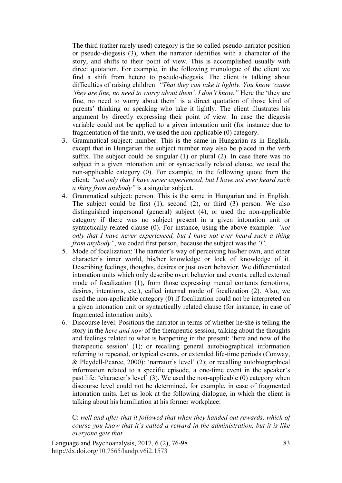The third (rather rarely used) category is the so called pseudo-narrator position or pseudo-diegesis (3), when the narrator identifies with a character of the story, and shifts to their point of view. This is accomplished usually with direct quotation. For example, in the following monologue of the client we find a shift from hetero to pseudo-diegesis. The client is talking about difficulties of raising children: *"That they can take it lightly. You know 'cause 'they are fine, no need to worry about them', I don't know."* Here the 'they are fine, no need to worry about them' is a direct quotation of those kind of parents' thinking or speaking who take it lightly. The client illustrates his argument by directly expressing their point of view. In case the diegesis variable could not be applied to a given intonation unit (for instance due to fragmentation of the unit), we used the non-applicable (0) category.

- 3. Grammatical subject: number. This is the same in Hungarian as in English, except that in Hungarian the subject number may also be placed in the verb suffix. The subject could be singular (1) or plural (2). In case there was no subject in a given intonation unit or syntactically related clause, we used the non-applicable category (0). For example, in the following quote from the client: *"not only that I have never experienced, but I have not ever heard such a thing from anybody"* is a singular subject.
- 4. Grammatical subject: person. This is the same in Hungarian and in English. The subject could be first (1), second (2), or third (3) person. We also distinguished impersonal (general) subject (4), or used the non-applicable category if there was no subject present in a given intonation unit or syntactically related clause (0). For instance, using the above example: *"not only that I have never experienced, but I have not ever heard such a thing from anybody"*, we coded first person, because the subject was the *'I'*.
- 5. Mode of focalization: The narrator's way of perceiving his/her own, and other character's inner world, his/her knowledge or lock of knowledge of it. Describing feelings, thoughts, desires or just overt behavior. We differentiated intonation units which only describe overt behavior and events, called external mode of focalization (1), from those expressing mental contents (emotions, desires, intentions, etc.), called internal mode of focalization (2). Also, we used the non-applicable category (0) if focalization could not be interpreted on a given intonation unit or syntactically related clause (for instance, in case of fragmented intonation units).
- 6. Discourse level: Positions the narrator in terms of whether he/she is telling the story in the *here and now* of the therapeutic session, talking about the thoughts and feelings related to what is happening in the present: 'here and now of the therapeutic session' (1); or recalling general autobiographical information referring to repeated, or typical events, or extended life-time periods (Conway, & Pleydell-Pearce, 2000): 'narrator's level' (2); or recalling autobiographical information related to a specific episode, a one-time event in the speaker's past life: 'character's level' (3). We used the non-applicable (0) category when discourse level could not be determined, for example, in case of fragmented intonation units. Let us look at the following dialogue, in which the client is talking about his humiliation at his former workplace:

C: *well and after that it followed that when they handed out rewards, which of course you know that it's called a reward in the administration, but it is like everyone gets that.*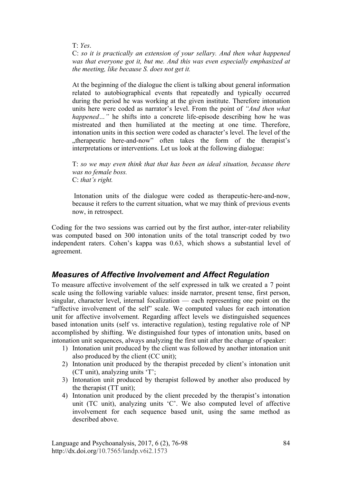T: *Yes*.

C: *so it is practically an extension of your sellary. And then what happened was that everyone got it, but me. And this was even especially emphasized at the meeting, like because S. does not get it.* 

At the beginning of the dialogue the client is talking about general information related to autobiographical events that repeatedly and typically occurred during the period he was working at the given institute. Therefore intonation units here were coded as narrator's level. From the point of *"And then what happened*..." he shifts into a concrete life-episode describing how he was mistreated and then humiliated at the meeting at one time. Therefore, intonation units in this section were coded as character's level. The level of the "therapeutic here-and-now" often takes the form of the therapist's interpretations or interventions. Let us look at the following dialogue:

T: *so we may even think that that has been an ideal situation, because there was no female boss.* C: *that's right.*

 Intonation units of the dialogue were coded as therapeutic-here-and-now, because it refers to the current situation, what we may think of previous events now, in retrospect.

Coding for the two sessions was carried out by the first author, inter-rater reliability was computed based on 300 intonation units of the total transcript coded by two independent raters. Cohen's kappa was 0.63, which shows a substantial level of agreement.

## *Measures of Affective Involvement and Affect Regulation*

To measure affective involvement of the self expressed in talk we created a 7 point scale using the following variable values: inside narrator, present tense, first person, singular, character level, internal focalization — each representing one point on the "affective involvement of the self" scale. We computed values for each intonation unit for affective involvement. Regarding affect levels we distinguished sequences based intonation units (self vs. interactive regulation), testing regulative role of NP accomplished by shifting. We distinguished four types of intonation units, based on intonation unit sequences, always analyzing the first unit after the change of speaker:

- 1) Intonation unit produced by the client was followed by another intonation unit also produced by the client (CC unit);
- 2) Intonation unit produced by the therapist preceded by client's intonation unit (CT unit), analyzing units 'T';
- 3) Intonation unit produced by therapist followed by another also produced by the therapist (TT unit);
- 4) Intonation unit produced by the client preceded by the therapist's intonation unit (TC unit), analyzing units 'C'. We also computed level of affective involvement for each sequence based unit, using the same method as described above.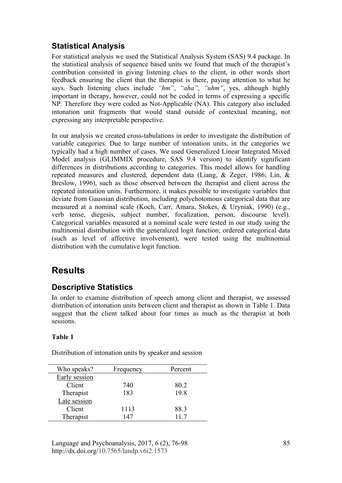# **Statistical Analysis**

For statistical analysis we used the Statistical Analysis System (SAS) 9.4 package. In the statistical analysis of sequence based units we found that much of the therapist's contribution consisted in giving listening clues to the client, in other words short feedback ensuring the client that the therapist is there, paying attention to what he says. Such listening clues include *"hm"*, *"aha"*, *"uhm"*, yes, although highly important in therapy, however, could not be coded in terms of expressing a specific NP. Therefore they were coded as Not-Applicable (NA). This category also included intonation unit fragments that would stand outside of contextual meaning, not expressing any interpretable perspective.

In our analysis we created cross-tabulations in order to investigate the distribution of variable categories. Due to large number of intonation units, in the categories we typically had a high number of cases. We used Generalized Linear Integrated Mixed Model analysis (GLIMMIX procedure, SAS 9.4 version) to identify significant differences in distributions according to categories. This model allows for handling repeated measures and clustered, dependent data (Liang, & Zeger, 1986; Lin, & Breslow, 1996), such as those observed between the therapist and client across the repeated intonation units. Furthermore, it makes possible to investigate variables that deviate from Gaussian distribution, including polychotomous categorical data that are measured at a nominal scale (Koch, Carr, Amara, Stokes, & Uryniak, 1990) (e.g., verb tense, diegesis, subject number, focalization, person, discourse level). Categorical variables measured at a nominal scale were tested in our study using the multinomial distribution with the generalized logit function; ordered categorical data (such as level of affective involvement), were tested using the multinomial distribution with the cumulative logit function.

# **Results**

# **Descriptive Statistics**

In order to examine distribution of speech among client and therapist, we assessed distribution of intonation units between client and therapist as shown in Table 1. Data suggest that the client talked about four times as much as the therapist at both sessions.

### **Table 1**

Distribution of intonation units by speaker and session

| Who speaks?   | Frequency | Percent |
|---------------|-----------|---------|
| Early session |           |         |
| Client        | 740       | 80.2    |
| Therapist     | 183       | 19.8    |
| Late session  |           |         |
| Client        | 1113      | 88.3    |
| Therapist     | 147       | 117     |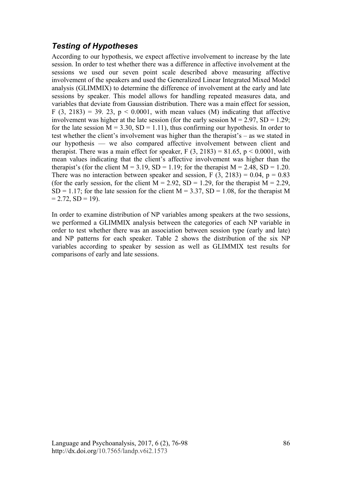# *Testing of Hypotheses*

According to our hypothesis, we expect affective involvement to increase by the late session. In order to test whether there was a difference in affective involvement at the sessions we used our seven point scale described above measuring affective involvement of the speakers and used the Generalized Linear Integrated Mixed Model analysis (GLIMMIX) to determine the difference of involvement at the early and late sessions by speaker. This model allows for handling repeated measures data, and variables that deviate from Gaussian distribution. There was a main effect for session, F (3, 2183) = 39. 23,  $p < 0.0001$ , with mean values (M) indicating that affective involvement was higher at the late session (for the early session  $M = 2.97$ ,  $SD = 1.29$ ; for the late session  $M = 3.30$ ,  $SD = 1.11$ ), thus confirming our hypothesis. In order to test whether the client's involvement was higher than the therapist's – as we stated in our hypothesis — we also compared affective involvement between client and therapist. There was a main effect for speaker,  $F(3, 2183) = 81.65$ ,  $p < 0.0001$ , with mean values indicating that the client's affective involvement was higher than the therapist's (for the client  $M = 3.19$ ,  $SD = 1.19$ ; for the therapist  $M = 2.48$ ,  $SD = 1.20$ . There was no interaction between speaker and session, F  $(3, 2183) = 0.04$ , p = 0.83 (for the early session, for the client  $M = 2.92$ ,  $SD = 1.29$ , for the therapist  $M = 2.29$ ,  $SD = 1.17$ ; for the late session for the client  $M = 3.37$ ,  $SD = 1.08$ , for the therapist M  $= 2.72$ ,  $SD = 19$ ).

In order to examine distribution of NP variables among speakers at the two sessions, we performed a GLIMMIX analysis between the categories of each NP variable in order to test whether there was an association between session type (early and late) and NP patterns for each speaker. Table 2 shows the distribution of the six NP variables according to speaker by session as well as GLIMMIX test results for comparisons of early and late sessions.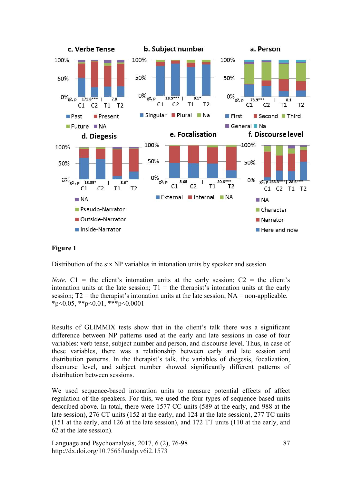

#### **Figure 1**

Distribution of the six NP variables in intonation units by speaker and session

*Note*.  $C1 =$  the client's intonation units at the early session;  $C2 =$  the client's intonation units at the late session:  $T1 =$  the therapist's intonation units at the early session;  $T2$  = the therapist's intonation units at the late session;  $NA$  = non-applicable.  $*p<0.05$ ,  $*p<0.01$ ,  $**p<0.0001$ 

Results of GLIMMIX tests show that in the client's talk there was a significant difference between NP patterns used at the early and late sessions in case of four variables: verb tense, subject number and person, and discourse level. Thus, in case of these variables, there was a relationship between early and late session and distribution patterns. In the therapist's talk, the variables of diegesis, focalization, discourse level, and subject number showed significantly different patterns of distribution between sessions.

We used sequence-based intonation units to measure potential effects of affect regulation of the speakers. For this, we used the four types of sequence-based units described above. In total, there were 1577 CC units (589 at the early, and 988 at the late session), 276 CT units (152 at the early, and 124 at the late session), 277 TC units (151 at the early, and 126 at the late session), and 172 TT units (110 at the early, and 62 at the late session).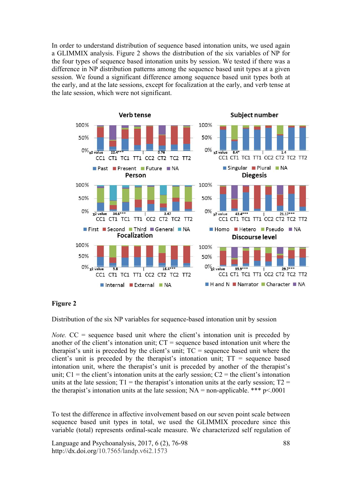In order to understand distribution of sequence based intonation units, we used again a GLIMMIX analysis. Figure 2 shows the distribution of the six variables of NP for the four types of sequence based intonation units by session. We tested if there was a difference in NP distribution patterns among the sequence based unit types at a given session. We found a significant difference among sequence based unit types both at the early, and at the late sessions, except for focalization at the early, and verb tense at the late session, which were not significant.



#### **Figure 2**

Distribution of the six NP variables for sequence-based intonation unit by session

*Note.* CC = sequence based unit where the client's intonation unit is preceded by another of the client's intonation unit; CT = sequence based intonation unit where the therapist's unit is preceded by the client's unit; TC = sequence based unit where the client's unit is preceded by the therapist's intonation unit;  $TT$  = sequence based intonation unit, where the therapist's unit is preceded by another of the therapist's unit;  $C_1$  = the client's intonation units at the early session;  $C_2$  = the client's intonation units at the late session;  $T1 =$  the therapist's intonation units at the early session;  $T2 =$ the therapist's intonation units at the late session;  $NA = non-applicable.$ <sup>\*\*\*</sup>  $p < .0001$ 

To test the difference in affective involvement based on our seven point scale between sequence based unit types in total, we used the GLIMMIX procedure since this variable (total) represents ordinal-scale measure. We characterized self regulation of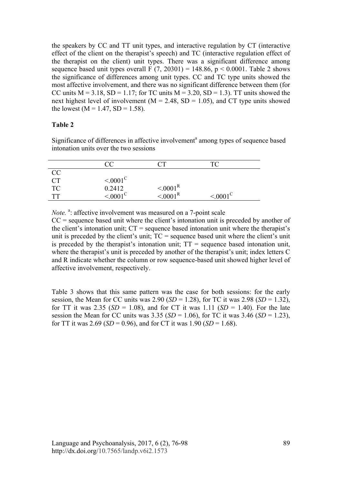the speakers by CC and TT unit types, and interactive regulation by CT (interactive effect of the client on the therapist's speech) and TC (interactive regulation effect of the therapist on the client) unit types. There was a significant difference among sequence based unit types overall F  $(7, 20301) = 148.86$ ,  $p < 0.0001$ . Table 2 shows the significance of differences among unit types. CC and TC type units showed the most affective involvement, and there was no significant difference between them (for CC units  $M = 3.18$ ,  $SD = 1.17$ ; for TC units  $M = 3.20$ ,  $SD = 1.3$ ). TT units showed the next highest level of involvement ( $M = 2.48$ , SD = 1.05), and CT type units showed the lowest ( $M = 1.47$ ,  $SD = 1.58$ ).

#### **Table 2**

Significance of differences in affective involvement<sup>a</sup> among types of sequence based intonation units over the two sessions

|                 | CC                   |                      | ТC                 |
|-----------------|----------------------|----------------------|--------------------|
| <b>CC</b>       |                      |                      |                    |
|                 | $\leq 0.001^{\circ}$ |                      |                    |
| $\frac{CT}{TC}$ | 0.2412               | $\leq 0.001^{\rm R}$ |                    |
| TТ              | $\frac{100000}{6}$   | $\leq 0.001^R$       | $\rm < 0001^\circ$ |

Note.<sup>a</sup>: affective involvement was measured on a 7-point scale

 $CC$  = sequence based unit where the client's intonation unit is preceded by another of the client's intonation unit;  $CT$  = sequence based intonation unit where the therapist's unit is preceded by the client's unit;  $TC =$  sequence based unit where the client's unit is preceded by the therapist's intonation unit;  $TT$  = sequence based intonation unit, where the therapist's unit is preceded by another of the therapist's unit; index letters C and R indicate whether the column or row sequence-based unit showed higher level of affective involvement, respectively.

Table 3 shows that this same pattern was the case for both sessions: for the early session, the Mean for CC units was  $2.90$  (*SD* = 1.28), for TC it was  $2.98$  (*SD* = 1.32), for TT it was 2.35 ( $SD = 1.08$ ), and for CT it was 1.11 ( $SD = 1.40$ ). For the late session the Mean for CC units was  $3.35$  (*SD* = 1.06), for TC it was  $3.46$  (*SD* = 1.23), for TT it was  $2.69$  (*SD* = 0.96), and for CT it was  $1.90$  (*SD* = 1.68).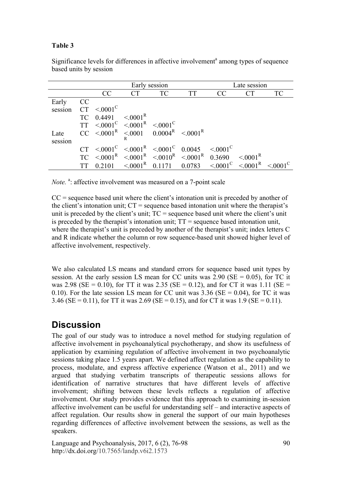### **Table 3**

|         |    | Early session                                                                                                    |                      |                                    |           | Late session                          |                     |           |
|---------|----|------------------------------------------------------------------------------------------------------------------|----------------------|------------------------------------|-----------|---------------------------------------|---------------------|-----------|
|         |    | CC                                                                                                               | <b>CT</b>            | <b>TC</b>                          | <b>TT</b> | CC                                    | <b>CT</b>           | <b>TC</b> |
| Early   | CC |                                                                                                                  |                      |                                    |           |                                       |                     |           |
| session |    | $\text{CT} \leq 0001^{\text{C}}$                                                                                 |                      |                                    |           |                                       |                     |           |
|         | TC | 0.4491                                                                                                           | $\leq 0.001^{\rm R}$ |                                    |           |                                       |                     |           |
|         |    | $TT \leq 0.001^C \leq 0.001^R \leq 0.001^C$                                                                      |                      |                                    |           |                                       |                     |           |
| Late    |    | $CC \leq 0.001^R \leq 0.001 \ 0.0004^R \leq 0.001^R$                                                             |                      |                                    |           |                                       |                     |           |
| session |    |                                                                                                                  |                      |                                    |           |                                       |                     |           |
|         |    | $\text{CT} \leq 0.001^{\text{C}} \leq 0.001^{\text{R}} \leq 0.001^{\text{C}} \quad 0.0045 \leq 0.001^{\text{C}}$ |                      |                                    |           |                                       |                     |           |
|         |    | $TC \leq 0.001^R \leq 0.001^R \leq 0.010^R \leq 0.001^R \leq 0.3690$                                             |                      |                                    |           |                                       | $\leq 0001^{\rm R}$ |           |
|         |    | 0 2 1 0 1                                                                                                        |                      | $\leq 0.001^{\rm R}$ 0.1171 0.0783 |           | $\leq 0001^{\circ} \leq 0001^{\circ}$ |                     |           |

Significance levels for differences in affective involvement<sup>a</sup> among types of sequence based units by session

Note.<sup>a</sup>: affective involvement was measured on a 7-point scale

 $CC$  = sequence based unit where the client's intonation unit is preceded by another of the client's intonation unit;  $CT$  = sequence based intonation unit where the therapist's unit is preceded by the client's unit;  $TC =$  sequence based unit where the client's unit is preceded by the therapist's intonation unit; TT = sequence based intonation unit, where the therapist's unit is preceded by another of the therapist's unit; index letters C and R indicate whether the column or row sequence-based unit showed higher level of affective involvement, respectively.

We also calculated LS means and standard errors for sequence based unit types by session. At the early session LS mean for CC units was  $2.90$  (SE = 0.05), for TC it was 2.98 (SE = 0.10), for TT it was 2.35 (SE = 0.12), and for CT it was 1.11 (SE = 0.10). For the late session LS mean for CC unit was  $3.36$  (SE = 0.04), for TC it was 3.46 (SE = 0.11), for TT it was 2.69 (SE = 0.15), and for CT it was 1.9 (SE = 0.11).

# **Discussion**

The goal of our study was to introduce a novel method for studying regulation of affective involvement in psychoanalytical psychotherapy, and show its usefulness of application by examining regulation of affective involvement in two psychoanalytic sessions taking place 1.5 years apart. We defined affect regulation as the capability to process, modulate, and express affective experience (Watson et al., 2011) and we argued that studying verbatim transcripts of therapeutic sessions allows for identification of narrative structures that have different levels of affective involvement; shifting between these levels reflects a regulation of affective involvement. Our study provides evidence that this approach to examining in-session affective involvement can be useful for understanding self – and interactive aspects of affect regulation. Our results show in general the support of our main hypotheses regarding differences of affective involvement between the sessions, as well as the speakers.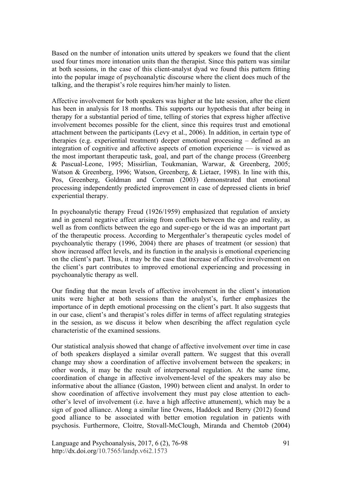Based on the number of intonation units uttered by speakers we found that the client used four times more intonation units than the therapist. Since this pattern was similar at both sessions, in the case of this client-analyst dyad we found this pattern fitting into the popular image of psychoanalytic discourse where the client does much of the talking, and the therapist's role requires him/her mainly to listen.

Affective involvement for both speakers was higher at the late session, after the client has been in analysis for 18 months. This supports our hypothesis that after being in therapy for a substantial period of time, telling of stories that express higher affective involvement becomes possible for the client, since this requires trust and emotional attachment between the participants (Levy et al., 2006). In addition, in certain type of therapies (e.g. experiential treatment) deeper emotional processing – defined as an integration of cognitive and affective aspects of emotion experience — is viewed as the most important therapeutic task, goal, and part of the change process (Greenberg & Pascual-Leone, 1995; Missirlian, Toukmanian, Warwar, & Greenberg, 2005; Watson & Greenberg, 1996; Watson, Greenberg, & Lietaer, 1998). In line with this, Pos, Greenberg, Goldman and Corman (2003) demonstrated that emotional processing independently predicted improvement in case of depressed clients in brief experiential therapy.

In psychoanalytic therapy Freud (1926/1959) emphasized that regulation of anxiety and in general negative affect arising from conflicts between the ego and reality, as well as from conflicts between the ego and super-ego or the id was an important part of the therapeutic process. According to Mergenthaler's therapeutic cycles model of psychoanalytic therapy (1996, 2004) there are phases of treatment (or session) that show increased affect levels, and its function in the analysis is emotional experiencing on the client's part. Thus, it may be the case that increase of affective involvement on the client's part contributes to improved emotional experiencing and processing in psychoanalytic therapy as well.

Our finding that the mean levels of affective involvement in the client's intonation units were higher at both sessions than the analyst's, further emphasizes the importance of in depth emotional processing on the client's part. It also suggests that in our case, client's and therapist's roles differ in terms of affect regulating strategies in the session, as we discuss it below when describing the affect regulation cycle characteristic of the examined sessions.

Our statistical analysis showed that change of affective involvement over time in case of both speakers displayed a similar overall pattern. We suggest that this overall change may show a coordination of affective involvement between the speakers; in other words, it may be the result of interpersonal regulation. At the same time, coordination of change in affective involvement-level of the speakers may also be informative about the alliance (Gaston, 1990) between client and analyst. In order to show coordination of affective involvement they must pay close attention to eachother's level of involvement (i.e. have a high affective attunement), which may be a sign of good alliance. Along a similar line Owens, Haddock and Berry (2012) found good alliance to be associated with better emotion regulation in patients with psychosis. Furthermore, Cloitre, Stovall-McClough, Miranda and Chemtob (2004)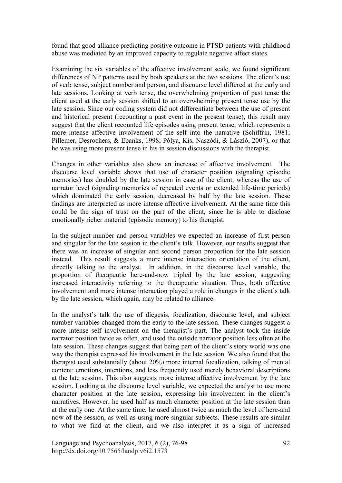found that good alliance predicting positive outcome in PTSD patients with childhood abuse was mediated by an improved capacity to regulate negative affect states.

Examining the six variables of the affective involvement scale, we found significant differences of NP patterns used by both speakers at the two sessions. The client's use of verb tense, subject number and person, and discourse level differed at the early and late sessions. Looking at verb tense, the overwhelming proportion of past tense the client used at the early session shifted to an overwhelming present tense use by the late session. Since our coding system did not differentiate between the use of present and historical present (recounting a past event in the present tense), this result may suggest that the client recounted life episodes using present tense, which represents a more intense affective involvement of the self into the narrative (Schiffrin, 1981; Pillemer, Desrochers, & Ebanks, 1998; Pólya, Kis, Naszódi, & László, 2007), or that he was using more present tense in his in session discussions with the therapist.

Changes in other variables also show an increase of affective involvement. The discourse level variable shows that use of character position (signaling episodic memories) has doubled by the late session in case of the client, whereas the use of narrator level (signaling memories of repeated events or extended life-time periods) which dominated the early session, decreased by half by the late session. These findings are interpreted as more intense affective involvement. At the same time this could be the sign of trust on the part of the client, since he is able to disclose emotionally richer material (episodic memory) to his therapist.

In the subject number and person variables we expected an increase of first person and singular for the late session in the client's talk. However, our results suggest that there was an increase of singular and second person proportion for the late session instead. This result suggests a more intense interaction orientation of the client, directly talking to the analyst. In addition, in the discourse level variable, the proportion of therapeutic here-and-now tripled by the late session, suggesting increased interactivity referring to the therapeutic situation. Thus, both affective involvement and more intense interaction played a role in changes in the client's talk by the late session, which again, may be related to alliance.

In the analyst's talk the use of diegesis, focalization, discourse level, and subject number variables changed from the early to the late session. These changes suggest a more intense self involvement on the therapist's part. The analyst took the inside narrator position twice as often, and used the outside narrator position less often at the late session. These changes suggest that being part of the client's story world was one way the therapist expressed his involvement in the late session. We also found that the therapist used substantially (about 20%) more internal focalization, talking of mental content: emotions, intentions, and less frequently used merely behavioral descriptions at the late session. This also suggests more intense affective involvement by the late session. Looking at the discourse level variable, we expected the analyst to use more character position at the late session, expressing his involvement in the client's narratives. However, he used half as much character position at the late session than at the early one. At the same time, he used almost twice as much the level of here-and now of the session, as well as using more singular subjects. These results are similar to what we find at the client, and we also interpret it as a sign of increased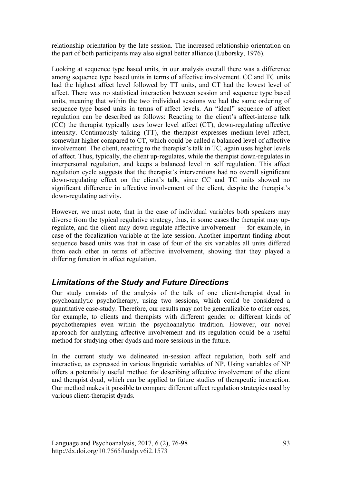relationship orientation by the late session. The increased relationship orientation on the part of both participants may also signal better alliance (Luborsky, 1976).

Looking at sequence type based units, in our analysis overall there was a difference among sequence type based units in terms of affective involvement. CC and TC units had the highest affect level followed by TT units, and CT had the lowest level of affect. There was no statistical interaction between session and sequence type based units, meaning that within the two individual sessions we had the same ordering of sequence type based units in terms of affect levels. An "ideal" sequence of affect regulation can be described as follows: Reacting to the client's affect-intense talk (CC) the therapist typically uses lower level affect (CT), down-regulating affective intensity. Continuously talking (TT), the therapist expresses medium-level affect, somewhat higher compared to CT, which could be called a balanced level of affective involvement. The client, reacting to the therapist's talk in TC, again uses higher levels of affect. Thus, typically, the client up-regulates, while the therapist down-regulates in interpersonal regulation, and keeps a balanced level in self regulation. This affect regulation cycle suggests that the therapist's interventions had no overall significant down-regulating effect on the client's talk, since CC and TC units showed no significant difference in affective involvement of the client, despite the therapist's down-regulating activity.

However, we must note, that in the case of individual variables both speakers may diverse from the typical regulative strategy, thus, in some cases the therapist may upregulate, and the client may down-regulate affective involvement — for example, in case of the focalization variable at the late session. Another important finding about sequence based units was that in case of four of the six variables all units differed from each other in terms of affective involvement, showing that they played a differing function in affect regulation.

# *Limitations of the Study and Future Directions*

Our study consists of the analysis of the talk of one client-therapist dyad in psychoanalytic psychotherapy, using two sessions, which could be considered a quantitative case-study. Therefore, our results may not be generalizable to other cases, for example, to clients and therapists with different gender or different kinds of psychotherapies even within the psychoanalytic tradition. However, our novel approach for analyzing affective involvement and its regulation could be a useful method for studying other dyads and more sessions in the future.

In the current study we delineated in-session affect regulation, both self and interactive, as expressed in various linguistic variables of NP. Using variables of NP offers a potentially useful method for describing affective involvement of the client and therapist dyad, which can be applied to future studies of therapeutic interaction. Our method makes it possible to compare different affect regulation strategies used by various client-therapist dyads.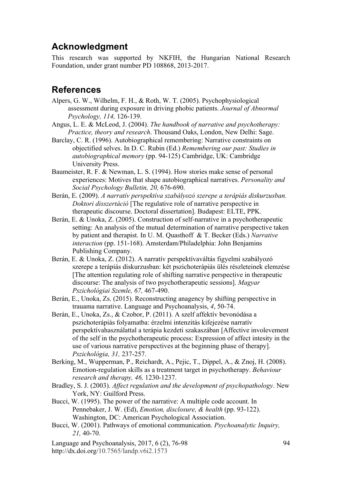# **Acknowledgment**

This research was supported by NKFIH, the Hungarian National Research Foundation, under grant number PD 108868, 2013-2017.

# **References**

- Alpers, G. W., Wilhelm, F. H., & Roth, W. T. (2005). Psychophysiological assessment during exposure in driving phobic patients. *Journal of Abnormal Psychology, 114,* 126-139.
- Angus, L. E. & McLeod, J. (2004). *The handbook of narrative and psychotherapy: Practice, theory and research*. Thousand Oaks, London, New Delhi: Sage.
- Barclay, C. R. (1996). Autobiographical remembering: Narrative constraints on objectified selves. In D. C. Rubin (Ed.) *Remembering our past: Studies in autobiographical memory* (pp. 94-125) Cambridge, UK: Cambridge University Press.
- Baumeister, R. F. & Newman, L. S. (1994). How stories make sense of personal experiences: Motives that shape autobiographical narratives. *Personality and Social Psychology Bulletin, 20,* 676-690.
- Berán, E. (2009). *A narratív perspektíva szabályozó szerepe a terápiás diskurzusban. Doktori disszertáció* [The regulative role of narrative perspective in therapeutic discourse. Doctoral dissertation]. Budapest: ELTE, PPK.
- Berán, E. & Unoka, Z. (2005). Construction of self-narrative in a psychotherapeutic setting: An analysis of the mutual determination of narrative perspective taken by patient and therapist. In U. M. Quasthoff & T. Becker (Eds.) *Narrative interaction* (pp. 151-168). Amsterdam/Philadelphia: John Benjamins Publishing Company.
- Berán, E. & Unoka, Z. (2012). A narratív perspektívaváltás figyelmi szabályozó szerepe a terápiás diskurzusban: két pszichoterápiás ülés részleteinek elemzése [The attention regulating role of shifting narrative perspective in therapeutic discourse: The analysis of two psychotherapeutic sessions]. *Magyar Pszichológiai Szemle, 67,* 467-490.
- Berán, E., Unoka, Zs. (2015). Reconstructing anagency by shifting perspective in trauama narrative. Language and Psychoanalysis, *4*, 50-74.
- Berán, E., Unoka, Zs., & Czobor, P. (2011). A szelf affektív bevonódása a pszichoterápiás folyamatba: érzelmi intenzitás kifejezése narratív perspektívahasználattal a terápia kezdeti szakaszában [Affective involevement of the self in the psychotherapeutic process: Expression of affect intesity in the use of various narrative perspectives at the beginning phase of therapy]. *Pszichológia, 31,* 237-257.
- Berking, M., Wupperman, P., Reichardt, A., Pejic, T., Dippel, A., & Znoj, H. (2008). Emotion-regulation skills as a treatment target in psychotherapy. *Behaviour research and therapy, 46,* 1230-1237.
- Bradley, S. J. (2003). *Affect regulation and the development of psychopathology*. New York, NY: Guilford Press.
- Bucci, W. (1995). The power of the narrative: A multiple code account. In Pennebaker, J. W. (Ed), *Emotion, disclosure, & health* (pp. 93-122). Washington, DC: American Psychological Association.
- Bucci, W. (2001). Pathways of emotional communication. *Psychoanalytic Inquiry, 21,* 40-70.
- Language and Psychoanalysis, 2017, 6 (2), 76-98 http://dx.doi.org/10.7565/landp.v6i2.1573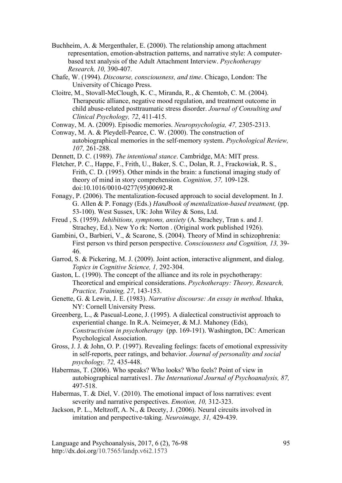- Buchheim, A. & Mergenthaler, E. (2000). The relationship among attachment representation, emotion-abstraction patterns, and narrative style: A computerbased text analysis of the Adult Attachment Interview. *Psychotherapy Research, 10,* 390-407.
- Chafe, W. (1994). *Discourse, consciousness, and time*. Chicago, London: The University of Chicago Press.
- Cloitre, M., Stovall-McClough, K. C., Miranda, R., & Chemtob, C. M. (2004). Therapeutic alliance, negative mood regulation, and treatment outcome in child abuse-related posttraumatic stress disorder. *Journal of Consulting and Clinical Psychology, 72*, 411-415.

Conway, M. A. (2009). Episodic memories. *Neuropsychologia, 47,* 2305-2313.

Conway, M. A. & Pleydell-Pearce, C. W. (2000). The construction of autobiographical memories in the self-memory system. *Psychological Review, 107,* 261-288.

Dennett, D. C. (1989). *The intentional stance*. Cambridge, MA: MIT press.

- Fletcher, P. C., Happe, F., Frith, U., Baker, S. C., Dolan, R. J., Frackowiak, R. S., Frith, C. D. (1995). Other minds in the brain: a functional imaging study of theory of mind in story comprehension. *Cognition, 57,* 109-128. doi:10.1016/0010-0277(95)00692-R
- Fonagy, P. (2006). The mentalization-focused approach to social development. In J. G. Allen & P. Fonagy (Eds.) *Handbook of mentalization-based treatment,* (pp. 53-100). West Sussex, UK: John Wiley & Sons, Ltd.
- Freud , S. (1959). *Inhibitions, symptoms, anxiety* (A. Strachey, Tran s. and J. Strachey, Ed.). New Yo rk: Norton . (Original work published 1926).
- Gambini, O., Barbieri, V., & Scarone, S. (2004). Theory of Mind in schizophrenia: First person vs third person perspective. *Consciousness and Cognition, 13,* 39- 46.
- Garrod, S. & Pickering, M. J. (2009). Joint action, interactive alignment, and dialog. *Topics in Cognitive Science, 1,* 292-304.
- Gaston, L. (1990). The concept of the alliance and its role in psychotherapy: Theoretical and empirical considerations. *Psychotherapy: Theory, Research, Practice, Training, 27*, 143-153.
- Genette, G. & Lewin, J. E. (1983). *Narrative discourse: An essay in method*. Ithaka, NY: Cornell University Press.
- Greenberg, L., & Pascual-Leone, J. (1995). A dialectical constructivist approach to experiential change. In R.A. Neimeyer, & M.J. Mahoney (Eds), *Constructivism in psychotherapy* (pp. 169-191). Washington, DC: American Psychological Association.
- Gross, J. J. & John, O. P. (1997). Revealing feelings: facets of emotional expressivity in self-reports, peer ratings, and behavior. *Journal of personality and social psychology, 72,* 435-448.
- Habermas, T. (2006). Who speaks? Who looks? Who feels? Point of view in autobiographical narratives1. *The International Journal of Psychoanalysis, 87,* 497-518.
- Habermas, T. & Diel, V. (2010). The emotional impact of loss narratives: event severity and narrative perspectives. *Emotion, 10,* 312-323.
- Jackson, P. L., Meltzoff, A. N., & Decety, J. (2006). Neural circuits involved in imitation and perspective-taking. *Neuroimage, 31,* 429-439.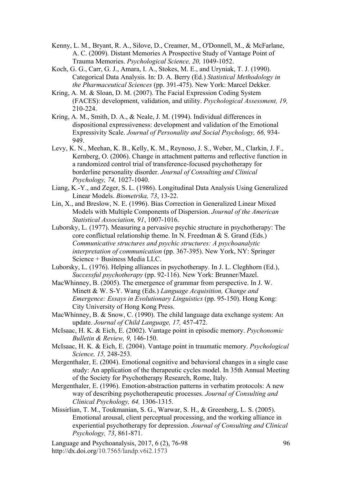- Kenny, L. M., Bryant, R. A., Silove, D., Creamer, M., O'Donnell, M., & McFarlane, A. C. (2009). Distant Memories A Prospective Study of Vantage Point of Trauma Memories. *Psychological Science, 20,* 1049-1052.
- Koch, G. G., Carr, G. J., Amara, I. A., Stokes, M. E., and Uryniak, T. J. (1990). Categorical Data Analysis. In: D. A. Berry (Ed.) *Statistical Methodology in the Pharmaceutical Sciences* (pp. 391-475). New York: Marcel Dekker.
- Kring, A. M. & Sloan, D. M. (2007). The Facial Expression Coding System (FACES): development, validation, and utility. *Psychological Assessment, 19,* 210-224.
- Kring, A. M., Smith, D. A., & Neale, J. M. (1994). Individual differences in dispositional expressiveness: development and validation of the Emotional Expressivity Scale. *Journal of Personality and Social Psychology, 66,* 934- 949.
- Levy, K. N., Meehan, K. B., Kelly, K. M., Reynoso, J. S., Weber, M., Clarkin, J. F., Kernberg, O. (2006). Change in attachment patterns and reflective function in a randomized control trial of transference-focused psychotherapy for borderline personality disorder. *Journal of Consulting and Clinical Psychology, 74,* 1027-1040.
- Liang, K.-Y., and Zeger, S. L. (1986). Longitudinal Data Analysis Using Generalized Linear Models. *Biometrika, 73*, 13-22.
- Lin, X., and Breslow, N. E. (1996). Bias Correction in Generalized Linear Mixed Models with Multiple Components of Dispersion. *Journal of the American Statistical Association, 91*, 1007-1016.
- Luborsky, L. (1977). Measuring a pervasive psychic structure in psychotherapy: The core conflictual relationship theme. In N. Freedman & S. Grand (Eds.) *Communicative structures and psychic structures: A psychoanalytic interpretation of communication* (pp. 367-395). New York, NY: Springer Science + Business Media LLC.
- Luborsky, L. (1976). Helping alliances in psychotherapy. In J. L. Cleghhorn (Ed.), *Successful psychotherapy* (pp. 92-116). New York: Brunner/Mazel.
- MacWhinney, B. (2005). The emergence of grammar from perspective. In J. W. Minett & W. S-Y. Wang (Eds.) *Language Acquisition, Change and Emergence: Essays in Evolutionary Linguistics* (pp. 95-150). Hong Kong: City University of Hong Kong Press.
- MacWhinney, B. & Snow, C. (1990). The child language data exchange system: An update. *Journal of Child Language, 17,* 457-472.
- McIsaac, H. K. & Eich, E. (2002). Vantage point in episodic memory. *Psychonomic Bulletin & Review, 9,* 146-150.
- McIsaac, H. K. & Eich, E. (2004). Vantage point in traumatic memory. *Psychological Science, 15,* 248-253.
- Mergenthaler, E. (2004). Emotional cognitive and behavioral changes in a single case study: An application of the therapeutic cycles model. In 35th Annual Meeting of the Society for Psychotherapy Research, Rome, Italy.
- Mergenthaler, E. (1996). Emotion-abstraction patterns in verbatim protocols: A new way of describing psychotherapeutic processes. *Journal of Consulting and Clinical Psychology, 64,* 1306-1315.
- Missirlian, T. M., Toukmanian, S. G., Warwar, S. H., & Greenberg, L. S. (2005). Emotional arousal, client perceptual processing, and the working alliance in experiential psychotherapy for depression. *Journal of Consulting and Clinical Psychology, 73*, 861-871.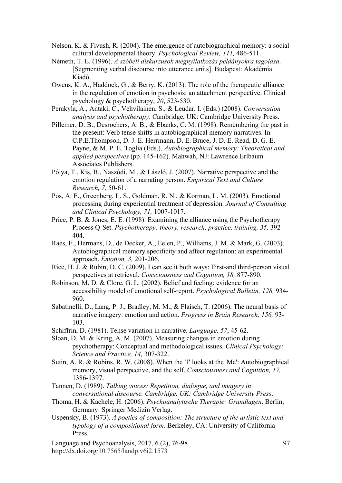- Nelson, K. & Fivush, R. (2004). The emergence of autobiographical memory: a social cultural developmental theory. *Psychological Review, 111,* 486-511.
- Németh, T. E. (1996). *A szóbeli diskurzusok megnyilatkozás példányokra tagolása*. [Segmenting verbal discourse into utterance units]. Budapest: Akadémia Kiadó.
- Owens, K. A., Haddock, G., & Berry, K. (2013). The role of the therapeutic alliance in the regulation of emotion in psychosis: an attachment perspective. Clinical psychology & psychotherapy, *20*, 523-530.
- Perakyla, A., Antaki, C., Vehvilainen, S., & Leudar, I. (Eds.) (2008). *Conversation analysis and psychotherapy*. Cambridge, UK: Cambridge University Press.
- Pillemer, D. B., Desrochers, A. B., & Ebanks, C. M. (1998). Remembering the past in the present: Verb tense shifts in autobiographical memory narratives. In C.P.E.Thompson, D. J. E. Herrmann, D. E. Bruce, J. D. E. Read, D. G. E. Payne, & M. P. E. Toglia (Eds.), *Autobiographical memory: Theoretical and applied perspectives* (pp. 145-162). Mahwah, NJ: Lawrence Erlbaum Associates Publishers.
- Pólya, T., Kis, B., Naszódi, M., & László, J. (2007). Narrative perspective and the emotion regulation of a narrating person. *Empirical Text and Culture Research, 7,* 50-61.
- Pos, A. E., Greenberg, L. S., Goldman, R. N., & Korman, L. M. (2003). Emotional processing during experiential treatment of depression. *Journal of Consulting and Clinical Psychology, 71,* 1007-1017.
- Price, P. B. & Jones, E. E. (1998). Examining the alliance using the Psychotherapy Process Q-Set. *Psychotherapy: theory, research, practice, training, 35,* 392- 404.
- Raes, F., Hermans, D., de Decker, A., Eelen, P., Williams, J. M. & Mark, G. (2003). Autobiographical memory specificity and affect regulation: an experimental approach. *Emotion, 3,* 201-206.
- Rice, H. J. & Rubin, D. C. (2009). I can see it both ways: First-and third-person visual perspectives at retrieval. *Consciousness and Cognition, 18,* 877-890.
- Robinson, M. D. & Clore, G. L. (2002). Belief and feeling: evidence for an accessibility model of emotional self-report. *Psychological Bulletin, 128,* 934- 960.
- Sabatinelli, D., Lang, P. J., Bradley, M. M., & Flaisch, T. (2006). The neural basis of narrative imagery: emotion and action. *Progress in Brain Research, 156,* 93- 103.
- Schiffrin, D. (1981). Tense variation in narrative. *Language, 57*, 45-62.
- Sloan, D. M. & Kring, A. M. (2007). Measuring changes in emotion during psychotherapy: Conceptual and methodological issues. *Clinical Psychology: Science and Practice, 14,* 307-322.
- Sutin, A. R. & Robins, R. W. (2008). When the `I' looks at the 'Me': Autobiographical memory, visual perspective, and the self. *Consciousness and Cognition, 17,* 1386-1397.
- Tannen, D. (1989). *Talking voices: Repetition, dialogue, and imagery in conversational discourse. Cambridge, UK: Cambridge University Press*.
- Thoma, H. & Kachele, H. (2006). *Psychoanalytische Therapie: Grundlagen*. Berlin, Germany: Springer Medizin Verlag.
- Uspensky, B. (1973). *A poetics of composition: The structure of the artistic text and typology of a compositional form*. Berkeley, CA: University of California Press.